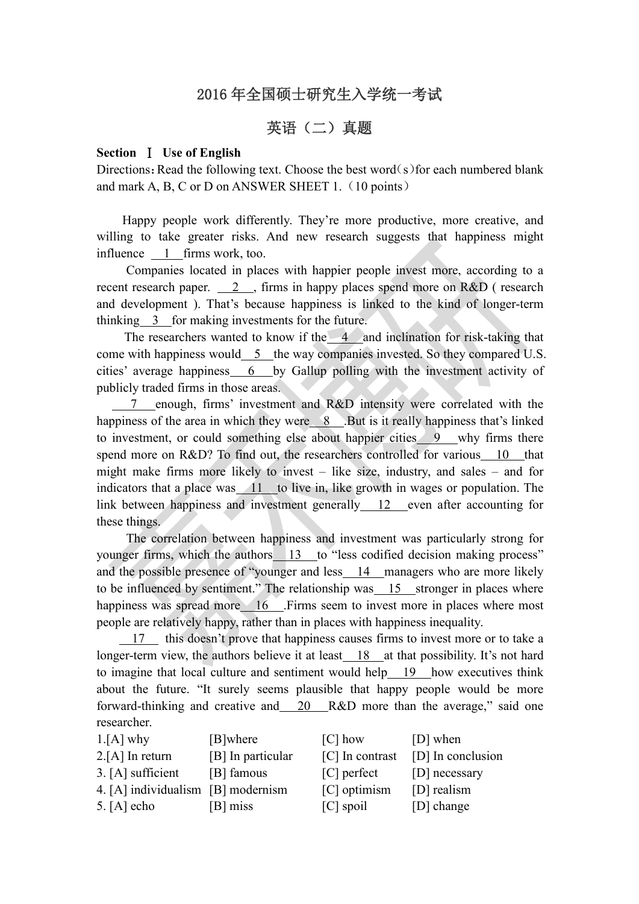## 2016 年全国硕士研究生入学统一考试

# 英语(二)真题

### **Section** Ⅰ **Use of English**

Directions: Read the following text. Choose the best word(s) for each numbered blank and mark A, B, C or D on ANSWER SHEET 1.  $(10 \text{ points})$ 

Happy people work differently. They're more productive, more creative, and willing to take greater risks. And new research suggests that happiness might influence 1 firms work, too.

Companies located in places with happier people invest more, according to a recent research paper. 2, firms in happy places spend more on R&D (research and development ). That's because happiness is linked to the kind of longer-term thinking 3 for making investments for the future.

The researchers wanted to know if the  $-4$  and inclination for risk-taking that come with happiness would 5 the way companies invested. So they compared U.S. cities' average happiness 6 by Gallup polling with the investment activity of publicly traded firms in those areas.

7 enough, firms' investment and R&D intensity were correlated with the happiness of the area in which they were 8 .But is it really happiness that's linked to investment, or could something else about happier cities 9 why firms there spend more on R&D? To find out, the researchers controlled for various 10 that might make firms more likely to invest – like size, industry, and sales – and for indicators that a place was  $11$  to live in, like growth in wages or population. The link between happiness and investment generally 12 even after accounting for these things.

The correlation between happiness and investment was particularly strong for younger firms, which the authors 13 to "less codified decision making process" and the possible presence of "younger and less 14 managers who are more likely to be influenced by sentiment." The relationship was 15 stronger in places where happiness was spread more 16 .Firms seem to invest more in places where most people are relatively happy, rather than in places with happiness inequality.

 $17$  this doesn't prove that happiness causes firms to invest more or to take a longer-term view, the authors believe it at least 18 at that possibility. It's not hard to imagine that local culture and sentiment would help 19 how executives think about the future. "It surely seems plausible that happy people would be more forward-thinking and creative and 20 R&D more than the average," said one researcher.

| $1.[A]$ why                        | [B]where          | $\lceil C \rceil$ how | [D] when          |
|------------------------------------|-------------------|-----------------------|-------------------|
| $2.[A]$ In return                  | [B] In particular | [C] In contrast       | [D] In conclusion |
| $3. [A]$ sufficient                | [B] famous        | $[C]$ perfect         | [D] necessary     |
| 4. [A] individualism [B] modernism |                   | [C] optimism          | [D] realism       |
| 5. $[A]$ echo                      | [B] miss          | $[C]$ spoil           | [D] change        |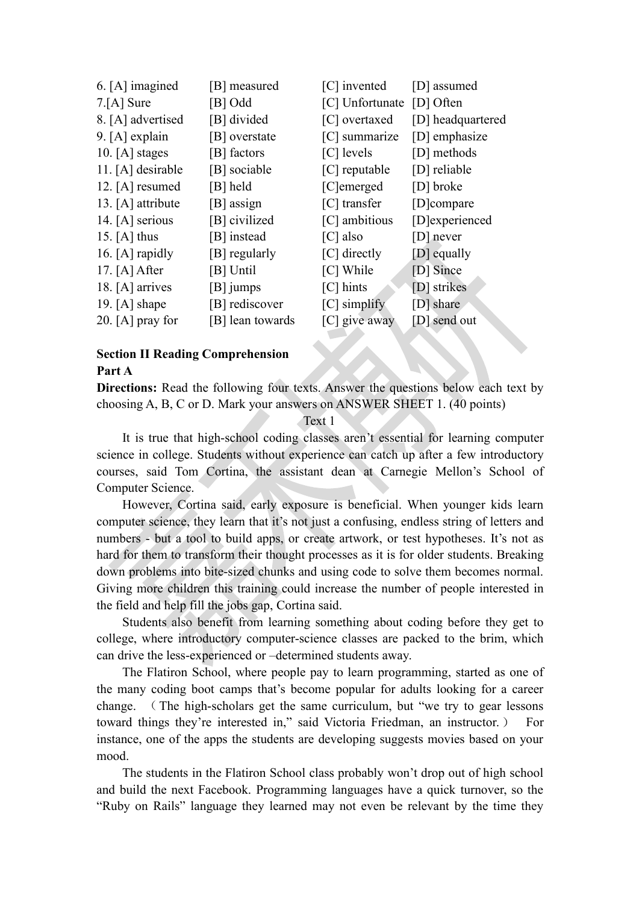| 6. [A] imagined     | [B] measured     | [C] invented    | [D] assumed       |
|---------------------|------------------|-----------------|-------------------|
| $7.[A]$ Sure        | [B] Odd          | [C] Unfortunate | [D] Often         |
| 8. [A] advertised   | [B] divided      | [C] overtaxed   | [D] headquartered |
| 9. $[A]$ explain    | [B] overstate    | $[C]$ summarize | [D] emphasize     |
| 10. $[A]$ stages    | [B] factors      | [C] levels      | [D] methods       |
| 11. $[A]$ desirable | [B] sociable     | $[C]$ reputable | [D] reliable      |
| 12. $[A]$ resumed   | [B] held         | [C]emerged      | [D] broke         |
| 13. $[A]$ attribute | [B] assign       | [C] transfer    | [D]compare        |
| 14. $[A]$ serious   | [B] civilized    | [C] ambitious   | [D]experienced    |
| 15. $[A]$ thus      | [B] instead      | $[C]$ also      | $[D]$ never       |
| 16. $[A]$ rapidly   | [B] regularly    | [C] directly    | [D] equally       |
| 17. $[A]$ After     | [B] Until        | [C] While       | [D] Since         |
| 18. $[A]$ arrives   | $[B]$ jumps      | $[C]$ hints     | [D] strikes       |
| 19. $[A]$ shape     | [B] rediscover   | $[C]$ simplify  | [D] share         |
| 20. $[A]$ pray for  | [B] lean towards | $[C]$ give away | [D] send out      |
|                     |                  |                 |                   |

### **Section II Reading Comprehension Part A**

**Directions:** Read the following four texts. Answer the questions below each text by choosing A, B, C or D. Mark your answers on ANSWER SHEET 1. (40 points)

#### Text 1

It is true that high-school coding classes aren't essential for learning computer science in college. Students without experience can catch up after a few introductory courses, said Tom Cortina, the assistant dean at Carnegie Mellon's School of Computer Science.

However, Cortina said, early exposure is beneficial. When younger kids learn computer science, they learn that it's not just a confusing, endless string of letters and numbers - but a tool to build apps, or create artwork, or test hypotheses. It's not as hard for them to transform their thought processes as it is for older students. Breaking down problems into bite-sized chunks and using code to solve them becomes normal. Giving more children this training could increase the number of people interested in the field and help fill the jobs gap, Cortina said.

Students also benefit from learning something about coding before they get to college, where introductory computer-science classes are packed to the brim, which can drive the less-experienced or –determined students away.

The Flatiron School, where people pay to learn programming, started as one of the many coding boot camps that's become popular for adults looking for a career change. (The high-scholars get the same curriculum, but "we try to gear lessons toward things they're interested in," said Victoria Friedman, an instructor. ) For instance, one of the apps the students are developing suggests movies based on your mood.<br>The students in the Flatiron School class probably won't drop out of high school

and build the next Facebook. Programming languages have a quick turnover, so the "Ruby on Rails" language they learned may not even be relevant by the time they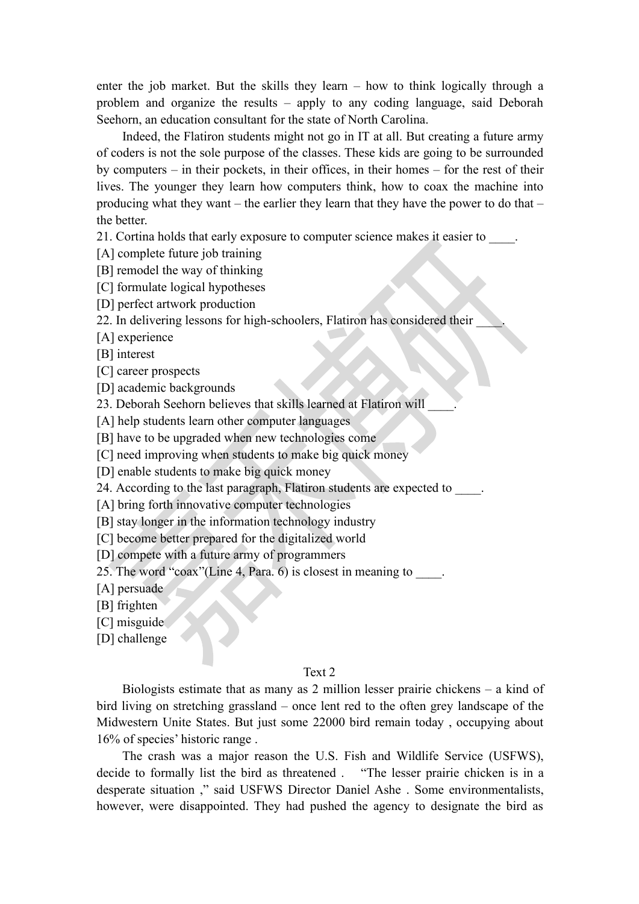enter the job market. But the skills they learn – how to think logically through a problem and organize the results – apply to any coding language, said Deborah Seehorn, an education consultant for the state of North Carolina.

Indeed, the Flatiron students might not go in IT at all. But creating a future army of coders is not the sole purpose of the classes. These kids are going to be surrounded by computers – in their pockets, in their offices, in their homes – for the rest of their lives. The younger they learn how computers think, how to coax the machine into producing what they want – the earlier they learn that they have the power to do that – the better.

21. Cortina holds that early exposure to computer science makes it easier to \_\_\_\_.

[A] complete future job training

[B] remodel the way of thinking

[C] formulate logical hypotheses

[D] perfect artwork production

22. In delivering lessons for high-schoolers, Flatiron has considered their

[A] experience

[B] interest

[C] career prospects

[D] academic backgrounds

23. Deborah Seehorn believes that skills learned at Flatiron will \_\_\_\_.

[A] help students learn other computer languages

[B] have to be upgraded when new technologies come

[C] need improving when students to make big quick money

[D] enable students to make big quick money

24. According to the last paragraph, Flatiron students are expected to  $\blacksquare$ .

[A] bring forth innovative computer technologies

[B] stay longer in the information technology industry

[C] become better prepared for the digitalized world

[D] compete with a future army of programmers

25. The word "coax"(Line 4, Para. 6) is closest in meaning to  $\qquad$ .

[A] persuade

[B] frighten

[C] misguide

[D] challenge

#### Text 2

Biologists estimate that as many as 2 million lesser prairie chickens – a kind of bird living on stretching grassland – once lent red to the often grey landscape of the Midwestern Unite States. But just some 22000 bird remain today , occupying about 16% of species' historic range .

The crash was a major reason the U.S. Fish and Wildlife Service (USFWS), decide to formally list the bird as threatened . "The lesser prairie chicken is in a desperate situation ," said USFWS Director Daniel Ashe . Some environmentalists, however, were disappointed. They had pushed the agency to designate the bird as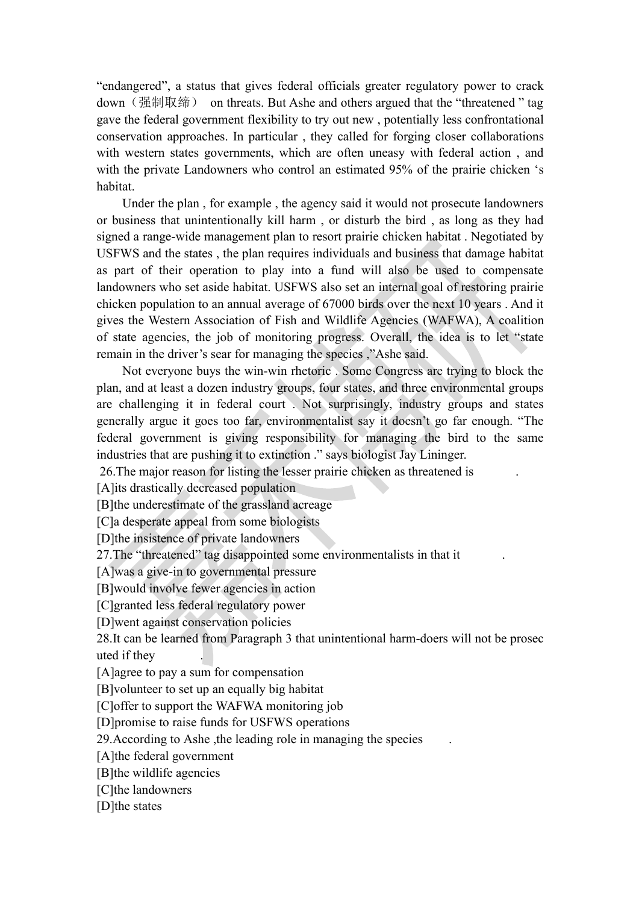"endangered", a status that gives federal officials greater regulatory power to crack down (强制取缔) on threats. But Ashe and others argued that the "threatened " tag gave the federal government flexibility to try out new , potentially less confrontational conservation approaches. In particular , they called for forging closer collaborations with western states governments, which are often uneasy with federal action , and with the private Landowners who control an estimated 95% of the prairie chicken 's habitat.

Under the plan , for example , the agency said it would not prosecute landowners or business that unintentionally kill harm, or disturb the bird, as long as they had signed a range-wide management plan to resort prairie chicken habitat. Negotiated by USFWS and the states , the plan requires individuals and business that damage habitat as part of their operation to play into a fund will also be used to compensate landowners who set aside habitat. USFWS also set an internal goal of restoring prairie chicken population to an annual average of 67000 birds over the next 10 years . And it gives the Western Association of Fish and Wildlife Agencies (WAFWA), A coalition of state agencies, the job of monitoring progress. Overall, the idea is to let "state remain in the driver's sear for managing the species ,"Ashe said.

Not everyone buys the win-win rhetoric . Some Congress are trying to block the plan, and at least a dozen industry groups, four states, and three environmental groups are challenging it in federal court . Not surprisingly, industry groups and states generally argue it goes too far, environmentalist say it doesn'tgo far enough. "The federal government is giving responsibility for managing the bird to the same industries that are pushing it to extinction ." says biologist Jay Lininger.

26.The major reason for listing the lesser prairie chicken as threatened is .

[A]its drastically decreased population

[B]the underestimate of the grassland acreage

[C]a desperate appeal from some biologists

[D]the insistence of private landowners

27. The "threatened" tag disappointed some environmentalists in that it

[A]was a give-in to governmental pressure

[B]would involve fewer agencies in action

[C]granted less federal regulatory power

[D]went against conservation policies

28.It can be learned from Paragraph 3 that unintentional harm-doers will not be prosec uted if they .

[A]agree to pay a sum for compensation

[B]volunteer to set up an equally big habitat

[C]offer to support the WAFWA monitoring job

[D]promise to raise funds for USFWS operations

29.According to Ashe ,the leading role in managing the species .

[A]the federal government

[B]the wildlife agencies

[C]the landowners

[D]the states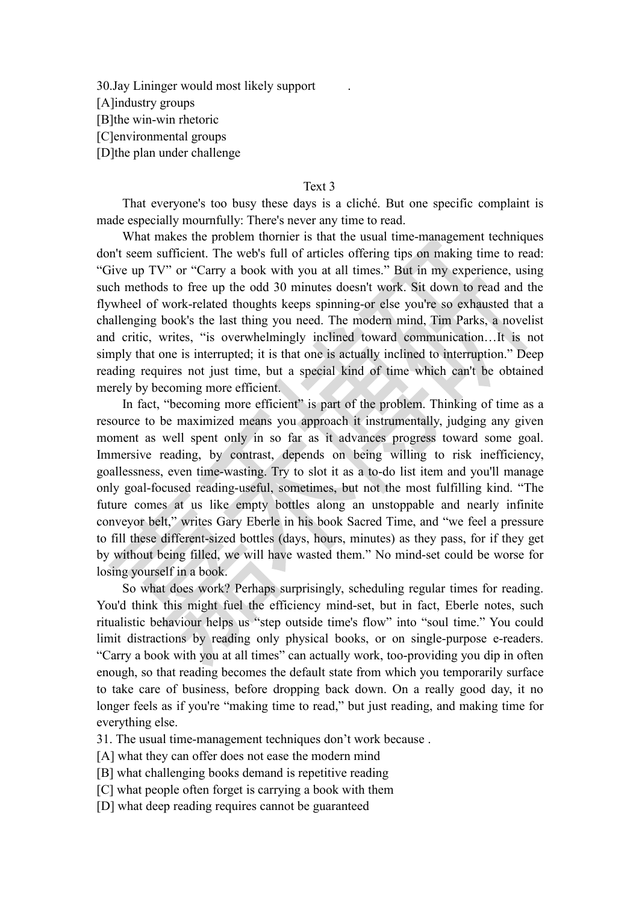30.Jay Lininger would most likely support . [A]industry groups [B]the win-win rhetoric [C]environmental groups [D]the plan under challenge

#### Text 3

That everyone's too busy these days is a cliché. But one specific complaint is made especially mournfully: There's never any time to read.

What makes the problem thornier is that the usual time-management techniques don't seem sufficient. The web's full of articles offering tips on making time to read: "Give up TV" or "Carry a book with you at all times." But in my experience, using such methods to free up the odd 30 minutes doesn't work. Sit down to read and the flywheel of work-related thoughts keeps spinning-or else you're so exhausted that a challenging book's the last thing you need. The modern mind, Tim Parks, a novelist and critic, writes, "is overwhelmingly inclined toward communication…It is not simply that one is interrupted; it is that one is actually inclined to interruption." Deep reading requires not just time, but a special kind of time which can't be obtained merely by becoming more efficient.

In fact, "becoming more efficient" is part of the problem. Thinking of time as a resource to be maximized means you approach it instrumentally, judging any given moment as well spent only in so far as it advances progress toward some goal. Immersive reading, by contrast, depends on being willing to risk inefficiency, goallessness, even time-wasting. Try to slot it as a to-do list item and you'll manage only goal-focused reading-useful, sometimes, but not the most fulfilling kind. "The future comes at us like empty bottles along an unstoppable and nearly infinite conveyor belt," writes Gary Eberle in his book Sacred Time, and "we feel a pressure to fill these different-sized bottles (days, hours, minutes) as they pass, for if they get by without being filled, we will have wasted them." No mind-set could be worse for losing yourself in a book.

So what does work? Perhaps surprisingly, scheduling regular times for reading. You'd think this might fuel the efficiency mind-set, but in fact, Eberle notes, such ritualistic behaviour helps us "step outside time's flow" into "soul time." You could limit distractions by reading only physical books, or on single-purpose e-readers. "Carry a book with you at all times" can actually work, too-providing you dip in often enough, so that reading becomes the default state from which you temporarily surface to take care of business, before dropping back down. On a really good day, it no longer feels as if you're "making time to read," but just reading, and making time for everything else.

31. The usual time-management techniques don't work because .

[A] what they can offer does not ease the modern mind

[B] what challenging books demand is repetitive reading

[C] what people often forget is carrying a book with them

[D] what deep reading requires cannot be guaranteed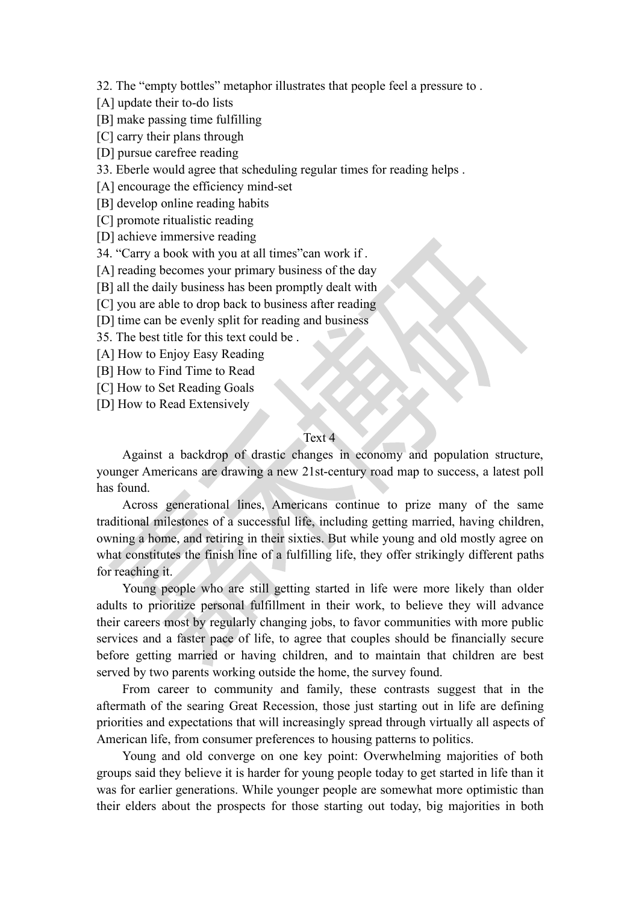32. The "empty bottles" metaphor illustrates that people feel a pressure to .

- [A] update their to-do lists
- [B] make passing time fulfilling
- [C] carry their plans through
- [D] pursue carefree reading
- 33. Eberle would agree that scheduling regular times for reading helps .
- [A] encourage the efficiency mind-set
- [B] develop online reading habits
- [C] promote ritualistic reading
- [D] achieve immersive reading
- 34. "Carry a book with you at all times"can work if.
- [A] reading becomes your primary business of the day
- [B] all the daily business has been promptly dealt with
- [C] you are able to drop back to business after reading
- [D] time can be evenly split for reading and business
- 35. The best title for this text could be .
- [A] How to Enjoy Easy Reading
- [B] How to Find Time to Read
- [C] How to Set Reading Goals
- [D] How to Read Extensively

### Text 4

Against a backdrop of drastic changes in economy and population structure, younger Americans are drawing a new 21st-century road map to success, a latest poll has found.

Across generational lines, Americans continue to prize many of the same traditional milestones of a successful life, including getting married, having children, owning a home, and retiring in their sixties. But while young and old mostly agree on what constitutes the finish line of a fulfilling life, they offer strikingly different paths for reaching it.

Young people who are still getting started in life were more likely than older adults to prioritize personal fulfillment in their work, to believe they will advance their careers most by regularly changing jobs, to favor communities with more public services and a faster pace of life, to agree that couples should be financially secure before getting married or having children, and to maintain that children are best served by two parents working outside the home, the survey found.

From career to community and family, these contrasts suggest that in the aftermath of the searing Great Recession, those just starting out in life are defining priorities and expectations that will increasingly spread through virtually all aspects of American life, from consumer preferences to housing patterns to politics.

Young and old converge on one key point: Overwhelming majorities of both groups said they believe it is harder for young people today to get started in life than it was for earlier generations. While younger people are somewhat more optimistic than their elders about the prospects for those starting out today, big majorities in both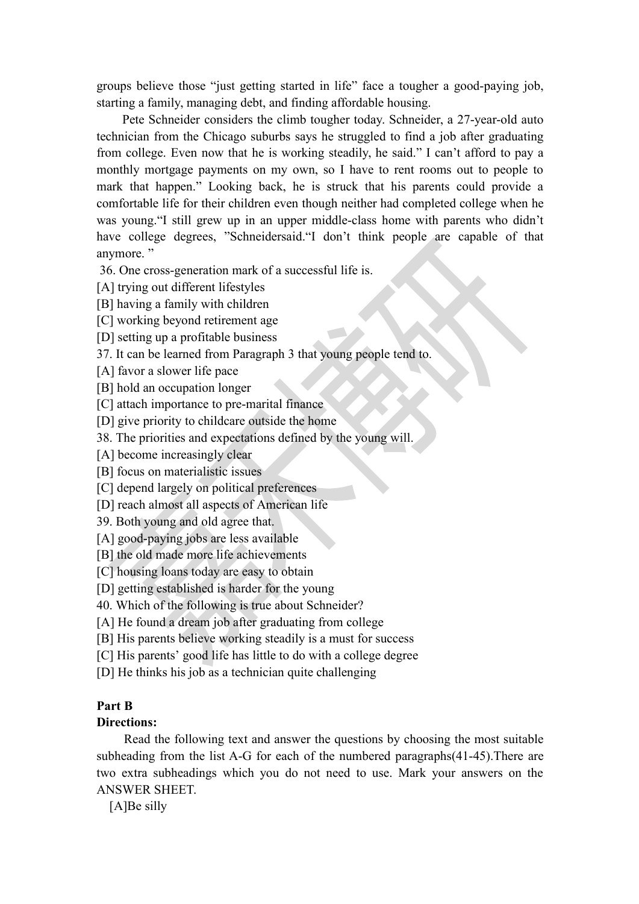groups believe those "just getting started in life" face a tougher a good-paying job, starting a family, managing debt, and finding affordable housing.<br>Pete Schneider considers the climb tougher today. Schneider, a 27-year-old auto

technician from the Chicago suburbs says he struggled to find a job after graduating from college. Even now that he is working steadily, he said." I can't afford to pay a monthly mortgage payments on my own, so I have to rent rooms out to people to mark that happen." Looking back, he is struck that his parents could provide a comfortable life for their children even though neither had completed college when he was young."I still grew up in an upper middle-class home with parents who didn't have college degrees, "Schneidersaid."I don't think people are capable of that anymore."

36. One cross-generation mark of a successful life is.

[A] trying out different lifestyles

[B] having a family with children

[C] working beyond retirement age

[D] setting up a profitable business

37. It can be learned from Paragraph 3 that young people tend to.

[A] favor a slower life pace

[B] hold an occupation longer

[C] attach importance to pre-marital finance

[D] give priority to childcare outside the home

38. The priorities and expectations defined by the young will.

[A] become increasingly clear

[B] focus on materialistic issues

[C] depend largely on political preferences

[D] reach almost all aspects of American life

39. Both young and old agree that.

[A] good-paying jobs are less available

[B] the old made more life achievements

[C] housing loans today are easy to obtain

[D] getting established is harder for the young

40. Which of the following is true about Schneider?

[A] He found a dream job after graduating from college

[B] His parents believe working steadily is a must for success

[C] His parents' good life has little to do with a college degree

[D] He thinks his job as a technician quite challenging

### **Part B**

### **Directions:**

Read the following text and answer the questions by choosing the most suitable subheading from the list A-G for each of the numbered paragraphs(41-45).There are two extra subheadings which you do not need to use. Mark your answers on the ANSWER SHEET.

[A]Be silly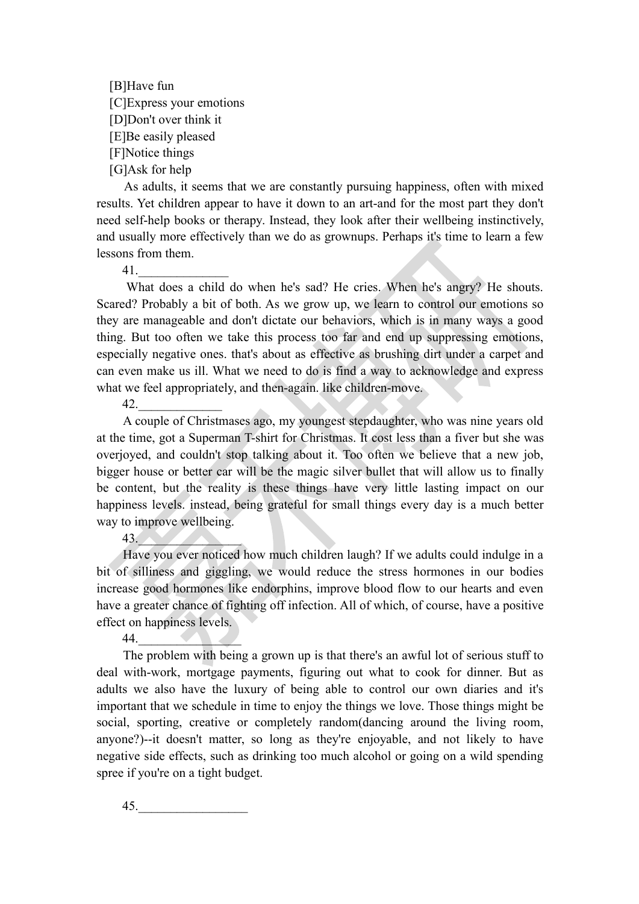[B]Have fun [C]Express your emotions [D]Don't over think it [E]Be easily pleased [F]Notice things [G]Ask for help

As adults, it seems that we are constantly pursuing happiness, often with mixed results. Yet children appear to have it down to an art-and for the most part they don't need self-help books or therapy. Instead, they look after their wellbeing instinctively, and usually more effectively than we do as grownups. Perhaps it's time to learn a few lessons from them.

 $41.$ 

What does a child do when he's sad? He cries. When he's angry? He shouts. Scared? Probably a bit of both. As we grow up, we learn to control our emotions so they are manageable and don't dictate our behaviors, which is in many ways a good thing. But too often we take this process too far and end up suppressing emotions, especially negative ones. that's about as effective as brushing dirt under a carpet and can even make us ill. What we need to do is find a way to acknowledge and express what we feel appropriately, and then-again. like children-move.

42.\_\_\_\_\_\_\_\_\_\_\_\_\_

A couple of Christmases ago, my youngest stepdaughter, who was nine years old at the time, got a Superman T-shirt for Christmas. It cost less than a fiver but she was overjoyed, and couldn't stop talking about it. Too often we believe that a new job, bigger house or better car will be the magic silver bullet that will allow us to finally be content, but the reality is these things have very little lasting impact on our happiness levels. instead, being grateful for small things every day is a much better way to improve wellbeing.

43.\_\_\_\_\_\_\_\_\_\_\_\_\_\_\_\_

Have you ever noticed how much children laugh? If we adults could indulge in a bit of silliness and giggling, we would reduce the stress hormones in our bodies increase good hormones like endorphins, improve blood flow to our hearts and even have a greater chance of fighting off infection. All of which, of course, have a positive effect on happiness levels.

44.\_\_\_\_\_\_\_\_\_\_\_\_\_\_\_\_

The problem with being a grown up is that there's an awful lot of serious stuff to deal with-work, mortgage payments, figuring out what to cook for dinner. But as adults we also have the luxury of being able to control our own diaries and it's important that we schedule in time to enjoy the things we love. Those things might be social, sporting, creative or completely random(dancing around the living room, anyone?)--it doesn't matter, so long as they're enjoyable, and not likely to have negative side effects, such as drinking too much alcohol or going on a wild spending spree if you're on a tight budget.

45.\_\_\_\_\_\_\_\_\_\_\_\_\_\_\_\_\_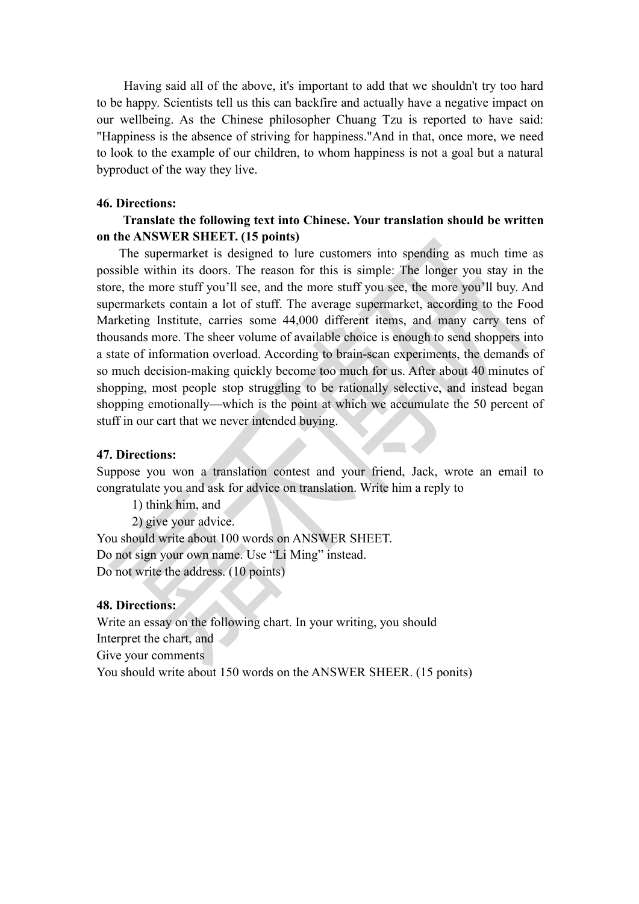Having said all of the above, it's important to add that we shouldn't try too hard to be happy. Scientists tell us this can backfire and actually have a negative impact on our wellbeing. As the Chinese philosopher Chuang Tzu is reported to have said: "Happiness is the absence of striving for happiness."And in that, once more, we need to look to the example of our children, to whom happiness is not a goal but a natural byproduct of the way they live.

### **46. Directions:**

### **Translate the following text into Chinese. Your translation should be written on the ANSWER SHEET. (15 points)**

The supermarket is designed to lure customers into spending as much time as possible within its doors. The reason for this is simple: The longer you stay in the store, the more stuff you'll see, and the more stuffyou see, the more you'll buy. And supermarkets contain a lot of stuff. The average supermarket, according to the Food Marketing Institute, carries some 44,000 different items, and many carry tens of thousands more. The sheer volume of available choice is enough to send shoppers into a state of information overload. According to brain-scan experiments, the demands of so much decision-making quickly become too much for us. After about 40 minutes of shopping, most people stop struggling to be rationally selective, and instead began shopping emotionally—which is the point at which we accumulate the 50 percent of stuff in our cart that we never intended buying.

### **47. Directions:**

Suppose you won a translation contest and your friend, Jack, wrote an email to congratulate you and ask for advice on translation.Write him a reply to

 $\overline{\phantom{a}}$ 

1) think him, and

2) give your advice.

You should write about 100 words on ANSWER SHEET. Do not sign your own name. Use "Li Ming" instead. Do not write the address. (10 points)

### **48. Directions:**

Write an essay on the following chart. In your writing, you should Interpret the chart, and Give your comments You should write about 150 words on the ANSWER SHEER. (15 ponits)